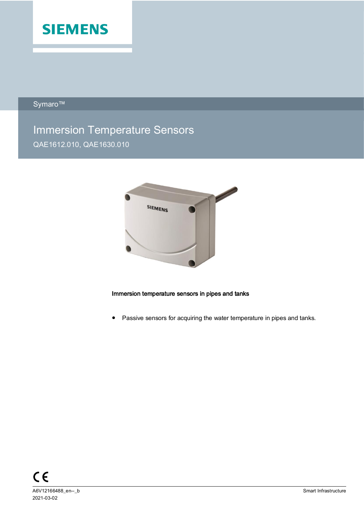

Symaro™

# Immersion Temperature Sensors QAE1612.010, QAE1630.010



## Immersion temperature sensors in pipes and tanks

● Passive sensors for acquiring the water temperature in pipes and tanks.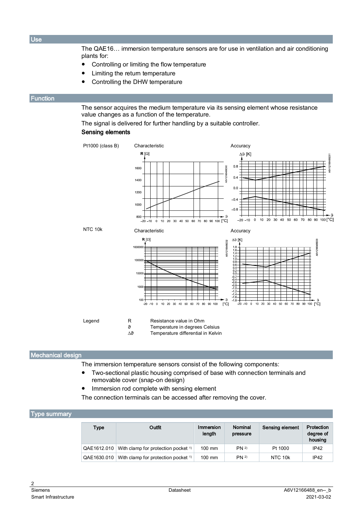**Use** 

The QAE16… immersion temperature sensors are for use in ventilation and air conditioning plants for:

- Controlling or limiting the flow temperature
- Limiting the return temperature
- Controlling the DHW temperature

## <span id="page-1-1"></span>**Function**

The sensor acquires the medium temperature via its sensing element whose resistance value changes as a function of the temperature.

The signal is delivered for further handling by a suitable controller.

## Sensing elements



## Mechanical design

The immersion temperature sensors consist of the following components:

- Two-sectional plastic housing comprised of base with connection terminals and removable cover (snap-on design)
- Immersion rod complete with sensing element

The connection terminals can be accessed after removing the cover.

#### <span id="page-1-0"></span>Type summary

| <b>Type</b> | Outfit                                         | Immersion<br>length | Nominal<br>pressure | Sensing element | Protection<br>degree of<br>housing |
|-------------|------------------------------------------------|---------------------|---------------------|-----------------|------------------------------------|
| QAE1612.010 | With clamp for protection pocket <sup>1)</sup> | $100 \text{ mm}$    | <b>PN 2)</b>        | Pt 1000         | IP42                               |
| QAE1630.010 | With clamp for protection pocket <sup>1)</sup> | $100 \text{ mm}$    | PN <sup>2</sup>     | NTC 10k         | IP42                               |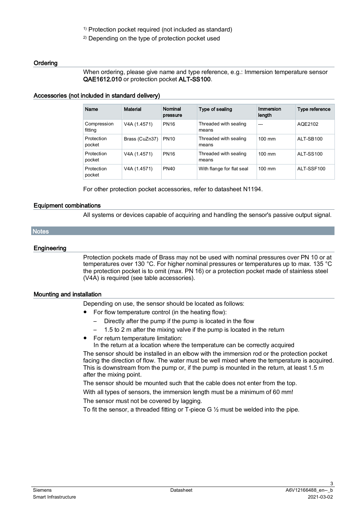1) Protection pocket required (not included as standard)

2) Depending on the type of protection pocket used

## **Ordering**

When ordering, please give name and type reference, e.g.: Immersion temperature sensor QAE1612.010 or protection pocket ALT-SS100.

## Accessories (not included in standard delivery)

| Name                   | <b>Material</b> | Nominal<br>pressure | Type of sealing                | Immersion<br>length | Type reference |
|------------------------|-----------------|---------------------|--------------------------------|---------------------|----------------|
| Compression<br>fitting | V4A (1.4571)    | <b>PN16</b>         | Threaded with sealing<br>means | $- - -$             | AQE2102        |
| Protection<br>pocket   | Brass (CuZn37)  | <b>PN10</b>         | Threaded with sealing<br>means | $100 \text{ mm}$    | ALT-SB100      |
| Protection<br>pocket   | V4A (1.4571)    | <b>PN16</b>         | Threaded with sealing<br>means | $100 \text{ mm}$    | ALT-SS100      |
| Protection<br>pocket   | V4A (1.4571)    | <b>PN40</b>         | With flange for flat seal      | $100 \text{ mm}$    | ALT-SSF100     |

For other protection pocket accessories, refer to datasheet N1194.

## Equipment combinations

All systems or devices capable of acquiring and handling the sensor's passive output signal.

#### **Notes**

#### **Engineering**

Protection pockets made of Brass may not be used with nominal pressures over PN 10 or at temperatures over 130 °C. For higher nominal pressures or temperatures up to max. 135 °C the protection pocket is to omit (max. PN 16) or a protection pocket made of stainless steel (V4A) is required (see table accessories).

#### Mounting and installation

Depending on use, the sensor should be located as follows:

- For flow temperature control (in the heating flow):
	- Directly after the pump if the pump is located in the flow
	- 1.5 to 2 m after the mixing valve if the pump is located in the return
- For return temperature limitation:
	- In the return at a location where the temperature can be correctly acquired

The sensor should be installed in an elbow with the immersion rod or the protection pocket facing the direction of flow. The water must be well mixed where the temperature is acquired. This is downstream from the pump or, if the pump is mounted in the return, at least 1.5 m after the mixing point.

The sensor should be mounted such that the cable does not enter from the top.

With all types of sensors, the immersion length must be a minimum of 60 mm!

The sensor must not be covered by lagging.

To fit the sensor, a threaded fitting or T-piece G  $\frac{1}{2}$  must be welded into the pipe.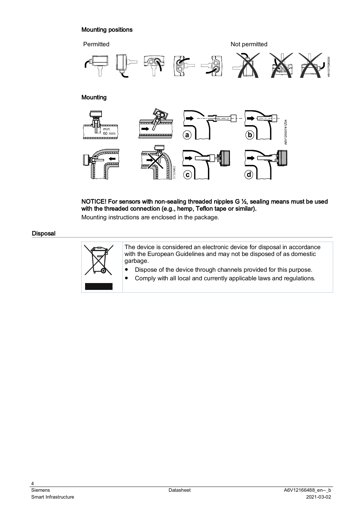# Mounting positions



NOTICE! For sensors with non-sealing threaded nipples G ½, sealing means must be used with the threaded connection (e.g., hemp, Teflon tape or similar).

Mounting instructions are enclosed in the package.

#### Disposal



The device is considered an electronic device for disposal in accordance with the European Guidelines and may not be disposed of as domestic garbage.

- Dispose of the device through channels provided for this purpose.
- Comply with all local and currently applicable laws and regulations.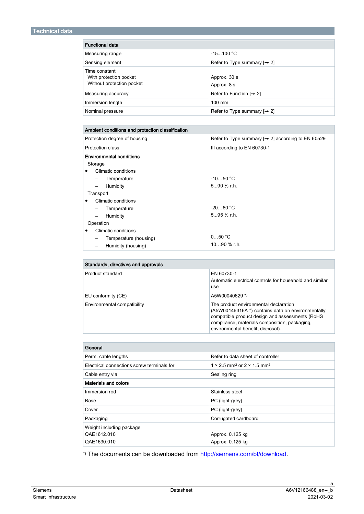| <b>Functional data</b>                                               |                                         |  |
|----------------------------------------------------------------------|-----------------------------------------|--|
| Measuring range                                                      | $-15100 °C$                             |  |
| Sensing element                                                      | Refer to Type summary $[\rightarrow 2]$ |  |
| Time constant<br>With protection pocket<br>Without protection pocket | Approx. 30 s<br>Approx. 8 s             |  |
| Measuring accuracy                                                   | Refer to Function $[\rightarrow 2]$     |  |
| Immersion length                                                     | $100$ mm                                |  |
| Nominal pressure                                                     | Refer to Type summary $[\rightarrow 2]$ |  |

| Ambient conditions and protection classification |                                                              |  |
|--------------------------------------------------|--------------------------------------------------------------|--|
| Protection degree of housing                     | Refer to Type summary $\rightarrow$ 2] according to EN 60529 |  |
| Protection class                                 | III according to EN 60730-1                                  |  |
| <b>Environmental conditions</b>                  |                                                              |  |
| Storage                                          |                                                              |  |
| Climatic conditions<br>٠                         |                                                              |  |
| Temperature                                      | $-1050 °C$                                                   |  |
| Humidity<br>$\overline{\phantom{0}}$             | $590$ % r.h.                                                 |  |
| Transport                                        |                                                              |  |
| Climatic conditions<br>٠                         |                                                              |  |
| Temperature<br>-                                 | $-2060 °C$                                                   |  |
| Humidity                                         | $595$ % r.h.                                                 |  |
| Operation                                        |                                                              |  |
| Climatic conditions<br>٠                         |                                                              |  |
| Temperature (housing)                            | 050 °C                                                       |  |
| Humidity (housing)                               | $1090$ % r.h.                                                |  |

| Standards, directives and approvals |                                                                                                                                                                                                                                     |  |
|-------------------------------------|-------------------------------------------------------------------------------------------------------------------------------------------------------------------------------------------------------------------------------------|--|
| Product standard                    | EN 60730-1<br>Automatic electrical controls for household and similar<br>use                                                                                                                                                        |  |
| EU conformity (CE)                  | A5W00040629 *)                                                                                                                                                                                                                      |  |
| Environmental compatibility         | The product environmental declaration<br>(A5W00146316A *) contains data on environmentally<br>compatible product design and assessments (RoHS<br>compliance, materials composition, packaging,<br>environmental benefit, disposal). |  |

| General                                    |                                                                  |  |
|--------------------------------------------|------------------------------------------------------------------|--|
| Perm. cable lengths                        | Refer to data sheet of controller                                |  |
| Electrical connections screw terminals for | $1 \times 2.5$ mm <sup>2</sup> or $2 \times 1.5$ mm <sup>2</sup> |  |
| Cable entry via                            | Sealing ring                                                     |  |
| Materials and colors                       |                                                                  |  |
| Immersion rod                              | Stainless steel                                                  |  |
| Base                                       | PC (light-grey)                                                  |  |
| Cover                                      | PC (light-grey)                                                  |  |
| Packaging                                  | Corrugated cardboard                                             |  |
| Weight including package                   |                                                                  |  |
| QAE1612.010                                | Approx. 0.125 kg                                                 |  |
| QAE1630.010                                | Approx. 0.125 kg                                                 |  |

\*) The documents can be downloaded fro[m http://siemens.com/bt/download.](http://siemens.com/bt/download)